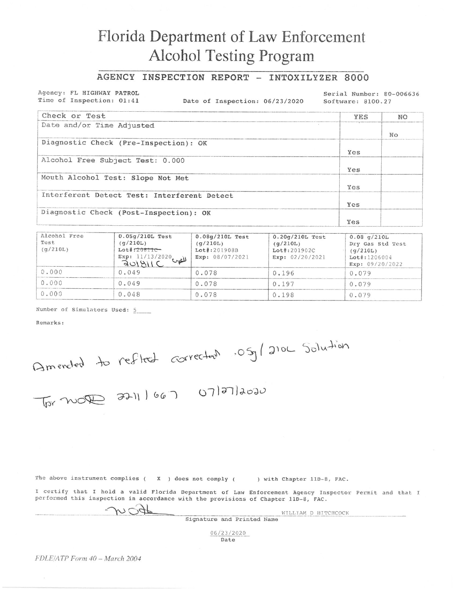## Florida Department of Law Enforcement **Alcohol Testing Program**

## AGENCY INSPECTION REPORT - INTOXILYZER 8000

Agency: FL HIGHWAY PATROL Time of Inspection: 01:41

Date of Inspection: 06/23/2020

Serial Number: 80-006636 Software: 8100.27

| Check or Test                               | <b>YES</b> | NO. |
|---------------------------------------------|------------|-----|
| Date and/or Time Adjusted                   |            |     |
|                                             |            | No  |
| Diagnostic Check (Pre-Inspection): OK       |            |     |
|                                             | Yes        |     |
| Alcohol Free Subject Test: 0.000            |            |     |
|                                             | Yes        |     |
| Mouth Alcohol Test: Slope Not Met           |            |     |
|                                             | Yes        |     |
| Interferent Detect Test: Interferent Detect |            |     |
|                                             | Yes        |     |
| Diagnostic Check (Post-Inspection): OK      |            |     |
|                                             | Yes        |     |

| Alcohol Free<br>Test<br>(q/210L) | $0.05q/210L$ Test<br>(q/210L)<br>$Let$ : $20811C -$<br>Exp: 11/13/2020<br>للص | $0.08q/210L$ Test<br>(q/210L)<br>Lot#:201908B<br>Exp: 08/07/2021 | $0.20q/210L$ Test<br>(q/210L)<br>$Let$ : 201902C<br>Exp: 02/20/2021 | $0.08$ g/210L<br>Dry Gas Std Test<br>(q/210L)<br>$Lot$ :1206004<br>Exp: $09/20/2022$ |
|----------------------------------|-------------------------------------------------------------------------------|------------------------------------------------------------------|---------------------------------------------------------------------|--------------------------------------------------------------------------------------|
| 0.000                            | 0.049                                                                         | 0.078                                                            | 0.196                                                               | 0.079                                                                                |
| 0.000                            | 0.049                                                                         | 0.078                                                            | 0.197                                                               | 0.079                                                                                |
| 0.000                            | 0.048                                                                         | 0.078                                                            | 0.198                                                               | 0.079                                                                                |

Number of Simulators Used: 5

Remarks:

Americal to reflect corrected .05g/210L Solution

The above instrument complies  $(X, Y)$  does not comply  $(X, Y)$ 

) with Chapter 11D-8, FAC.

I certify that I hold a valid Florida Department of Law Enforcement Agency Inspector Permit and that I performed this inspection in accordance with the provisions of Chapter 11D-8, FAC.

m Cigf

WILLIAM D HITCHCOCK Signature and Printed Name

> 06/23/2020 Date

FDLE/ATP Form 40 - March 2004